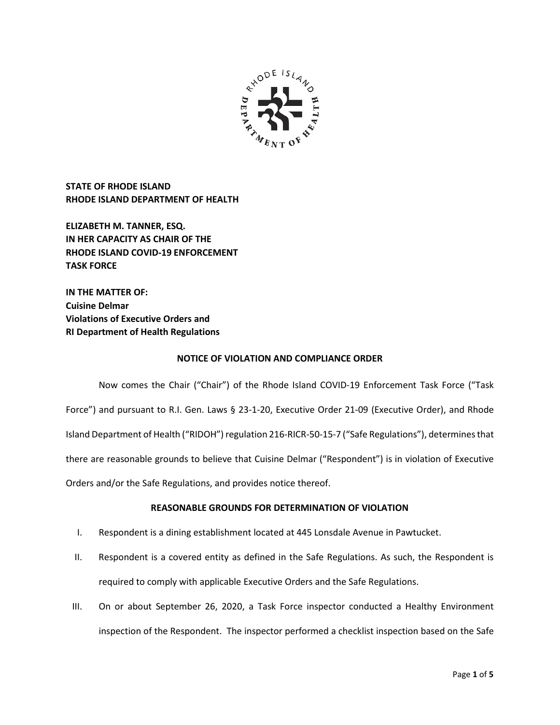

**STATE OF RHODE ISLAND RHODE ISLAND DEPARTMENT OF HEALTH**

**ELIZABETH M. TANNER, ESQ. IN HER CAPACITY AS CHAIR OF THE RHODE ISLAND COVID-19 ENFORCEMENT TASK FORCE** 

**IN THE MATTER OF: Cuisine Delmar Violations of Executive Orders and RI Department of Health Regulations**

### **NOTICE OF VIOLATION AND COMPLIANCE ORDER**

Now comes the Chair ("Chair") of the Rhode Island COVID-19 Enforcement Task Force ("Task Force") and pursuant to R.I. Gen. Laws § 23-1-20, Executive Order 21-09 (Executive Order), and Rhode Island Department of Health ("RIDOH") regulation 216-RICR-50-15-7 ("Safe Regulations"), determines that there are reasonable grounds to believe that Cuisine Delmar ("Respondent") is in violation of Executive Orders and/or the Safe Regulations, and provides notice thereof.

# **REASONABLE GROUNDS FOR DETERMINATION OF VIOLATION**

- I. Respondent is a dining establishment located at 445 Lonsdale Avenue in Pawtucket.
- II. Respondent is a covered entity as defined in the Safe Regulations. As such, the Respondent is required to comply with applicable Executive Orders and the Safe Regulations.
- III. On or about September 26, 2020, a Task Force inspector conducted a Healthy Environment inspection of the Respondent. The inspector performed a checklist inspection based on the Safe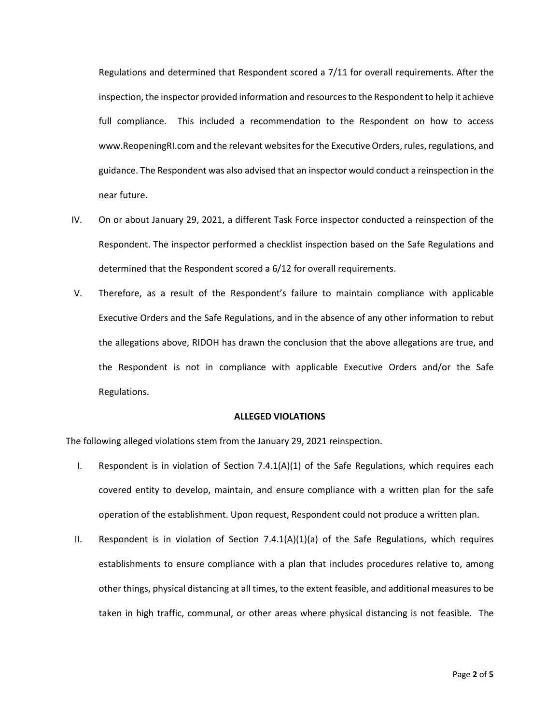Regulations and determined that Respondent scored a 7/11 for overall requirements. After the inspection, the inspector provided information and resources to the Respondent to help it achieve full compliance. This included a recommendation to the Respondent on how to access www.ReopeningRI.com and the relevant websites for the Executive Orders, rules, regulations, and guidance. The Respondent was also advised that an inspector would conduct a reinspection in the near future.

- IV. On or about January 29, 2021, a different Task Force inspector conducted a reinspection of the Respondent. The inspector performed a checklist inspection based on the Safe Regulations and determined that the Respondent scored a 6/12 for overall requirements.
- V. Therefore, as a result of the Respondent's failure to maintain compliance with applicable Executive Orders and the Safe Regulations, and in the absence of any other information to rebut the allegations above, RIDOH has drawn the conclusion that the above allegations are true, and the Respondent is not in compliance with applicable Executive Orders and/or the Safe Regulations.

### **ALLEGED VIOLATIONS**

The following alleged violations stem from the January 29, 2021 reinspection.

- I. Respondent is in violation of Section  $7.4.1(A)(1)$  of the Safe Regulations, which requires each covered entity to develop, maintain, and ensure compliance with a written plan for the safe operation of the establishment. Upon request, Respondent could not produce a written plan.
- II. Respondent is in violation of Section 7.4.1(A)(1)(a) of the Safe Regulations, which requires establishments to ensure compliance with a plan that includes procedures relative to, among other things, physical distancing at all times, to the extent feasible, and additional measures to be taken in high traffic, communal, or other areas where physical distancing is not feasible. The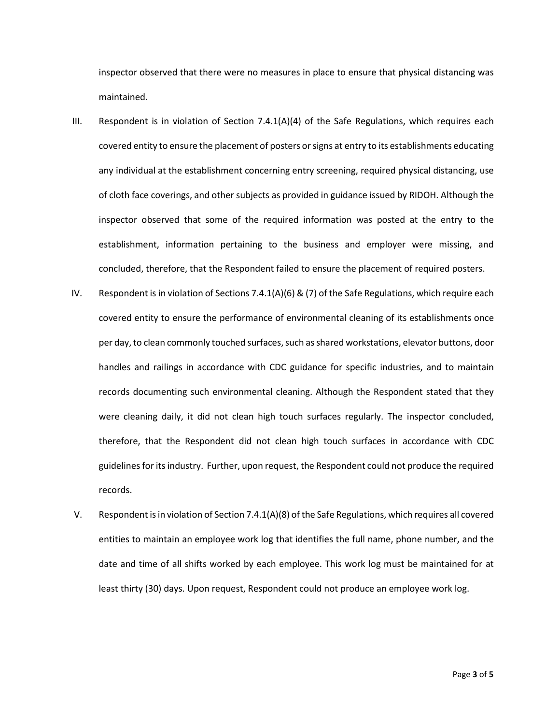inspector observed that there were no measures in place to ensure that physical distancing was maintained.

- III. Respondent is in violation of Section 7.4.1(A)(4) of the Safe Regulations, which requires each covered entity to ensure the placement of posters or signs at entry to its establishments educating any individual at the establishment concerning entry screening, required physical distancing, use of cloth face coverings, and other subjects as provided in guidance issued by RIDOH. Although the inspector observed that some of the required information was posted at the entry to the establishment, information pertaining to the business and employer were missing, and concluded, therefore, that the Respondent failed to ensure the placement of required posters.
- IV. Respondent is in violation of Sections 7.4.1(A)(6) & (7) of the Safe Regulations, which require each covered entity to ensure the performance of environmental cleaning of its establishments once per day, to clean commonly touched surfaces, such as shared workstations, elevator buttons, door handles and railings in accordance with CDC guidance for specific industries, and to maintain records documenting such environmental cleaning. Although the Respondent stated that they were cleaning daily, it did not clean high touch surfaces regularly. The inspector concluded, therefore, that the Respondent did not clean high touch surfaces in accordance with CDC guidelines for its industry. Further, upon request, the Respondent could not produce the required records.
- V. Respondent is in violation of Section 7.4.1(A)(8) of the Safe Regulations, which requires all covered entities to maintain an employee work log that identifies the full name, phone number, and the date and time of all shifts worked by each employee. This work log must be maintained for at least thirty (30) days. Upon request, Respondent could not produce an employee work log.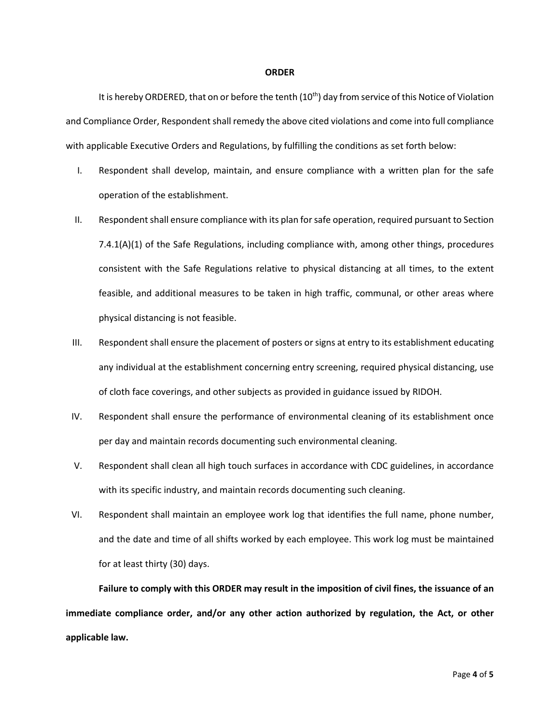#### **ORDER**

It is hereby ORDERED, that on or before the tenth (10<sup>th</sup>) day from service of this Notice of Violation and Compliance Order, Respondent shall remedy the above cited violations and come into full compliance with applicable Executive Orders and Regulations, by fulfilling the conditions as set forth below:

- I. Respondent shall develop, maintain, and ensure compliance with a written plan for the safe operation of the establishment.
- II. Respondent shall ensure compliance with its plan for safe operation, required pursuant to Section 7.4.1(A)(1) of the Safe Regulations, including compliance with, among other things, procedures consistent with the Safe Regulations relative to physical distancing at all times, to the extent feasible, and additional measures to be taken in high traffic, communal, or other areas where physical distancing is not feasible.
- III. Respondent shall ensure the placement of posters or signs at entry to its establishment educating any individual at the establishment concerning entry screening, required physical distancing, use of cloth face coverings, and other subjects as provided in guidance issued by RIDOH.
- IV. Respondent shall ensure the performance of environmental cleaning of its establishment once per day and maintain records documenting such environmental cleaning.
- V. Respondent shall clean all high touch surfaces in accordance with CDC guidelines, in accordance with its specific industry, and maintain records documenting such cleaning.
- VI. Respondent shall maintain an employee work log that identifies the full name, phone number, and the date and time of all shifts worked by each employee. This work log must be maintained for at least thirty (30) days.

**Failure to comply with this ORDER may result in the imposition of civil fines, the issuance of an immediate compliance order, and/or any other action authorized by regulation, the Act, or other applicable law.**